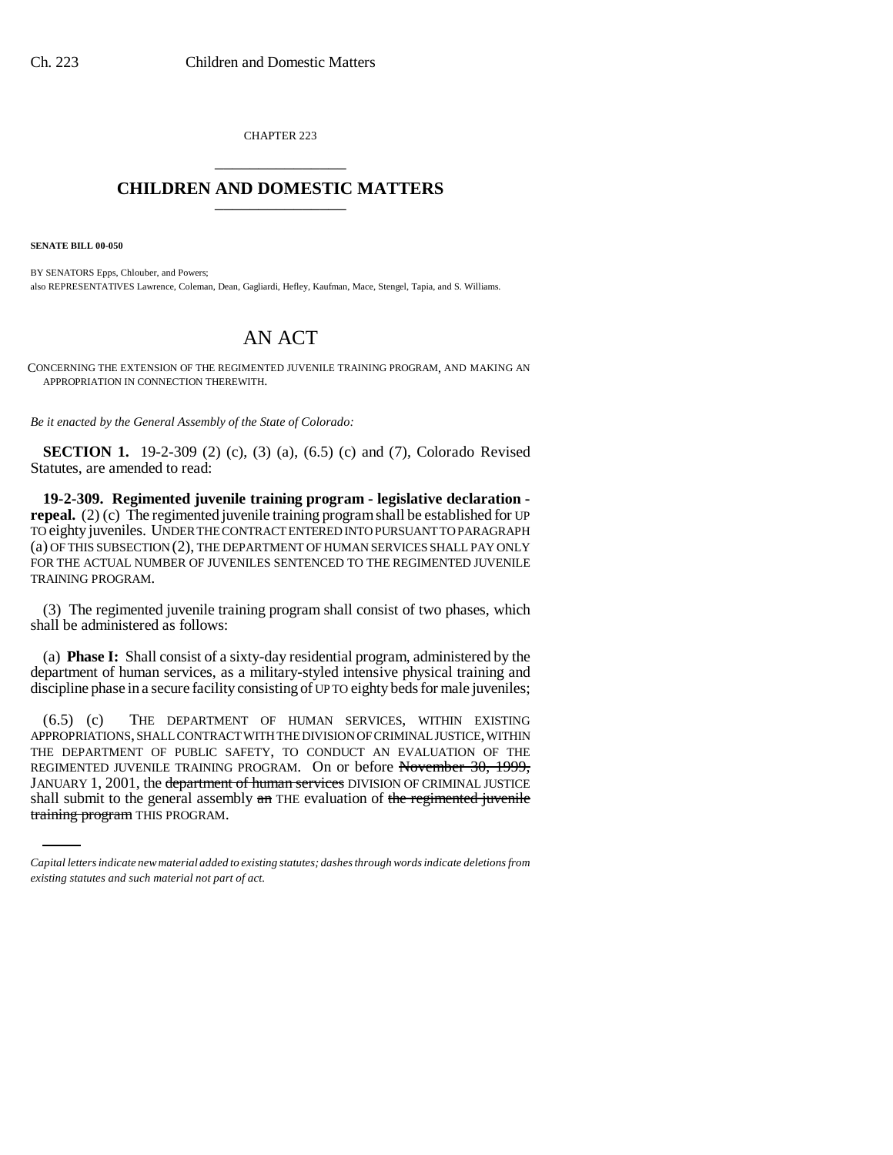CHAPTER 223 \_\_\_\_\_\_\_\_\_\_\_\_\_\_\_

## **CHILDREN AND DOMESTIC MATTERS** \_\_\_\_\_\_\_\_\_\_\_\_\_\_\_

**SENATE BILL 00-050** 

BY SENATORS Epps, Chlouber, and Powers; also REPRESENTATIVES Lawrence, Coleman, Dean, Gagliardi, Hefley, Kaufman, Mace, Stengel, Tapia, and S. Williams.

## AN ACT

CONCERNING THE EXTENSION OF THE REGIMENTED JUVENILE TRAINING PROGRAM, AND MAKING AN APPROPRIATION IN CONNECTION THEREWITH.

*Be it enacted by the General Assembly of the State of Colorado:*

**SECTION 1.** 19-2-309 (2) (c), (3) (a), (6.5) (c) and (7), Colorado Revised Statutes, are amended to read:

**19-2-309. Regimented juvenile training program - legislative declaration repeal.** (2) (c) The regimented juvenile training program shall be established for UP TO eighty juveniles. UNDER THE CONTRACT ENTERED INTO PURSUANT TO PARAGRAPH (a) OF THIS SUBSECTION (2), THE DEPARTMENT OF HUMAN SERVICES SHALL PAY ONLY FOR THE ACTUAL NUMBER OF JUVENILES SENTENCED TO THE REGIMENTED JUVENILE TRAINING PROGRAM.

(3) The regimented juvenile training program shall consist of two phases, which shall be administered as follows:

(a) **Phase I:** Shall consist of a sixty-day residential program, administered by the department of human services, as a military-styled intensive physical training and discipline phase in a secure facility consisting of UP TO eighty beds for male juveniles;

(6.5) (c) THE DEPARTMENT OF HUMAN SERVICES, WITHIN EXISTING APPROPRIATIONS, SHALL CONTRACT WITH THE DIVISION OF CRIMINAL JUSTICE, WITHIN THE DEPARTMENT OF PUBLIC SAFETY, TO CONDUCT AN EVALUATION OF THE REGIMENTED JUVENILE TRAINING PROGRAM. On or before November 30, 1999, JANUARY 1, 2001, the department of human services DIVISION OF CRIMINAL JUSTICE shall submit to the general assembly  $a_n$  THE evaluation of the regimented juvenile training program THIS PROGRAM.

*Capital letters indicate new material added to existing statutes; dashes through words indicate deletions from existing statutes and such material not part of act.*